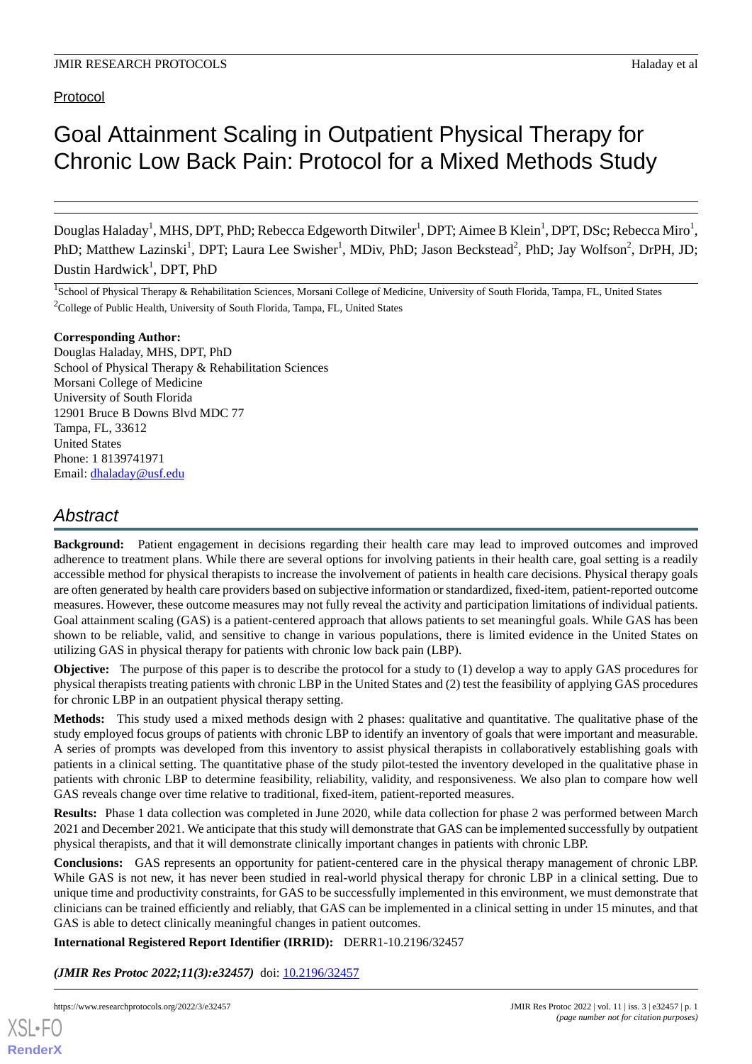Protocol

# Goal Attainment Scaling in Outpatient Physical Therapy for Chronic Low Back Pain: Protocol for a Mixed Methods Study

Douglas Haladay<sup>1</sup>, MHS, DPT, PhD; Rebecca Edgeworth Ditwiler<sup>1</sup>, DPT; Aimee B Klein<sup>1</sup>, DPT, DSc; Rebecca Miro<sup>1</sup>, PhD; Matthew Lazinski<sup>1</sup>, DPT; Laura Lee Swisher<sup>1</sup>, MDiv, PhD; Jason Beckstead<sup>2</sup>, PhD; Jay Wolfson<sup>2</sup>, DrPH, JD; Dustin Hardwick<sup>1</sup>, DPT, PhD

<sup>1</sup>School of Physical Therapy & Rehabilitation Sciences, Morsani College of Medicine, University of South Florida, Tampa, FL, United States  $2^2$ College of Public Health, University of South Florida, Tampa, FL, United States

#### **Corresponding Author:**

Douglas Haladay, MHS, DPT, PhD School of Physical Therapy & Rehabilitation Sciences Morsani College of Medicine University of South Florida 12901 Bruce B Downs Blvd MDC 77 Tampa, FL, 33612 United States Phone: 1 8139741971 Email: [dhaladay@usf.edu](mailto:dhaladay@usf.edu)

## *Abstract*

**Background:** Patient engagement in decisions regarding their health care may lead to improved outcomes and improved adherence to treatment plans. While there are several options for involving patients in their health care, goal setting is a readily accessible method for physical therapists to increase the involvement of patients in health care decisions. Physical therapy goals are often generated by health care providers based on subjective information or standardized, fixed-item, patient-reported outcome measures. However, these outcome measures may not fully reveal the activity and participation limitations of individual patients. Goal attainment scaling (GAS) is a patient-centered approach that allows patients to set meaningful goals. While GAS has been shown to be reliable, valid, and sensitive to change in various populations, there is limited evidence in the United States on utilizing GAS in physical therapy for patients with chronic low back pain (LBP).

**Objective:** The purpose of this paper is to describe the protocol for a study to (1) develop a way to apply GAS procedures for physical therapists treating patients with chronic LBP in the United States and (2) test the feasibility of applying GAS procedures for chronic LBP in an outpatient physical therapy setting.

**Methods:** This study used a mixed methods design with 2 phases: qualitative and quantitative. The qualitative phase of the study employed focus groups of patients with chronic LBP to identify an inventory of goals that were important and measurable. A series of prompts was developed from this inventory to assist physical therapists in collaboratively establishing goals with patients in a clinical setting. The quantitative phase of the study pilot-tested the inventory developed in the qualitative phase in patients with chronic LBP to determine feasibility, reliability, validity, and responsiveness. We also plan to compare how well GAS reveals change over time relative to traditional, fixed-item, patient-reported measures.

**Results:** Phase 1 data collection was completed in June 2020, while data collection for phase 2 was performed between March 2021 and December 2021. We anticipate that this study will demonstrate that GAS can be implemented successfully by outpatient physical therapists, and that it will demonstrate clinically important changes in patients with chronic LBP.

**Conclusions:** GAS represents an opportunity for patient-centered care in the physical therapy management of chronic LBP. While GAS is not new, it has never been studied in real-world physical therapy for chronic LBP in a clinical setting. Due to unique time and productivity constraints, for GAS to be successfully implemented in this environment, we must demonstrate that clinicians can be trained efficiently and reliably, that GAS can be implemented in a clinical setting in under 15 minutes, and that GAS is able to detect clinically meaningful changes in patient outcomes.

## **International Registered Report Identifier (IRRID):** DERR1-10.2196/32457

*(JMIR Res Protoc 2022;11(3):e32457)* doi:  $10.2196/32457$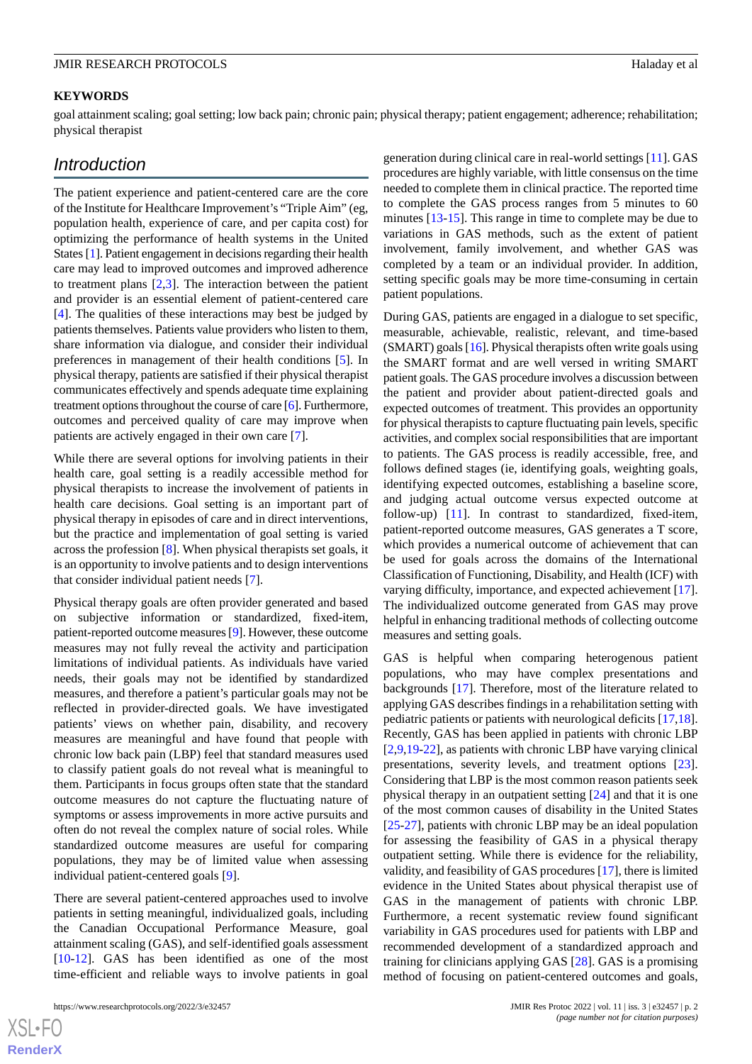#### **KEYWORDS**

goal attainment scaling; goal setting; low back pain; chronic pain; physical therapy; patient engagement; adherence; rehabilitation; physical therapist

## *Introduction*

The patient experience and patient-centered care are the core of the Institute for Healthcare Improvement's "Triple Aim" (eg, population health, experience of care, and per capita cost) for optimizing the performance of health systems in the United States [\[1\]](#page-6-0). Patient engagement in decisions regarding their health care may lead to improved outcomes and improved adherence to treatment plans  $[2,3]$  $[2,3]$  $[2,3]$  $[2,3]$ . The interaction between the patient and provider is an essential element of patient-centered care [[4\]](#page-6-3). The qualities of these interactions may best be judged by patients themselves. Patients value providers who listen to them, share information via dialogue, and consider their individual preferences in management of their health conditions [[5\]](#page-6-4). In physical therapy, patients are satisfied if their physical therapist communicates effectively and spends adequate time explaining treatment options throughout the course of care [\[6](#page-6-5)]. Furthermore, outcomes and perceived quality of care may improve when patients are actively engaged in their own care [\[7](#page-6-6)].

While there are several options for involving patients in their health care, goal setting is a readily accessible method for physical therapists to increase the involvement of patients in health care decisions. Goal setting is an important part of physical therapy in episodes of care and in direct interventions, but the practice and implementation of goal setting is varied across the profession [[8](#page-6-7)]. When physical therapists set goals, it is an opportunity to involve patients and to design interventions that consider individual patient needs [[7](#page-6-6)].

Physical therapy goals are often provider generated and based on subjective information or standardized, fixed-item, patient-reported outcome measures [\[9](#page-6-8)]. However, these outcome measures may not fully reveal the activity and participation limitations of individual patients. As individuals have varied needs, their goals may not be identified by standardized measures, and therefore a patient's particular goals may not be reflected in provider-directed goals. We have investigated patients' views on whether pain, disability, and recovery measures are meaningful and have found that people with chronic low back pain (LBP) feel that standard measures used to classify patient goals do not reveal what is meaningful to them. Participants in focus groups often state that the standard outcome measures do not capture the fluctuating nature of symptoms or assess improvements in more active pursuits and often do not reveal the complex nature of social roles. While standardized outcome measures are useful for comparing populations, they may be of limited value when assessing individual patient-centered goals [\[9](#page-6-8)].

There are several patient-centered approaches used to involve patients in setting meaningful, individualized goals, including the Canadian Occupational Performance Measure, goal attainment scaling (GAS), and self-identified goals assessment [[10](#page-6-9)[-12](#page-6-10)]. GAS has been identified as one of the most time-efficient and reliable ways to involve patients in goal

generation during clinical care in real-world settings [[11\]](#page-6-11). GAS procedures are highly variable, with little consensus on the time needed to complete them in clinical practice. The reported time to complete the GAS process ranges from 5 minutes to 60 minutes [\[13](#page-6-12)[-15](#page-6-13)]. This range in time to complete may be due to variations in GAS methods, such as the extent of patient involvement, family involvement, and whether GAS was completed by a team or an individual provider. In addition, setting specific goals may be more time-consuming in certain patient populations.

During GAS, patients are engaged in a dialogue to set specific, measurable, achievable, realistic, relevant, and time-based (SMART) goals [[16\]](#page-7-0). Physical therapists often write goals using the SMART format and are well versed in writing SMART patient goals. The GAS procedure involves a discussion between the patient and provider about patient-directed goals and expected outcomes of treatment. This provides an opportunity for physical therapists to capture fluctuating pain levels, specific activities, and complex social responsibilities that are important to patients. The GAS process is readily accessible, free, and follows defined stages (ie, identifying goals, weighting goals, identifying expected outcomes, establishing a baseline score, and judging actual outcome versus expected outcome at follow-up) [[11\]](#page-6-11). In contrast to standardized, fixed-item, patient-reported outcome measures, GAS generates a T score, which provides a numerical outcome of achievement that can be used for goals across the domains of the International Classification of Functioning, Disability, and Health (ICF) with varying difficulty, importance, and expected achievement [[17\]](#page-7-1). The individualized outcome generated from GAS may prove helpful in enhancing traditional methods of collecting outcome measures and setting goals.

GAS is helpful when comparing heterogenous patient populations, who may have complex presentations and backgrounds [\[17](#page-7-1)]. Therefore, most of the literature related to applying GAS describes findings in a rehabilitation setting with pediatric patients or patients with neurological deficits [\[17](#page-7-1),[18\]](#page-7-2). Recently, GAS has been applied in patients with chronic LBP [[2](#page-6-1)[,9,](#page-6-8)[19](#page-7-3)[-22](#page-7-4)], as patients with chronic LBP have varying clinical presentations, severity levels, and treatment options [[23\]](#page-7-5). Considering that LBP is the most common reason patients seek physical therapy in an outpatient setting [[24](#page-7-6)] and that it is one of the most common causes of disability in the United States [[25](#page-7-7)[-27](#page-7-8)], patients with chronic LBP may be an ideal population for assessing the feasibility of GAS in a physical therapy outpatient setting. While there is evidence for the reliability, validity, and feasibility of GAS procedures [\[17](#page-7-1)], there is limited evidence in the United States about physical therapist use of GAS in the management of patients with chronic LBP. Furthermore, a recent systematic review found significant variability in GAS procedures used for patients with LBP and recommended development of a standardized approach and training for clinicians applying GAS [\[28](#page-7-9)]. GAS is a promising method of focusing on patient-centered outcomes and goals,

 $XS$  • FO **[RenderX](http://www.renderx.com/)**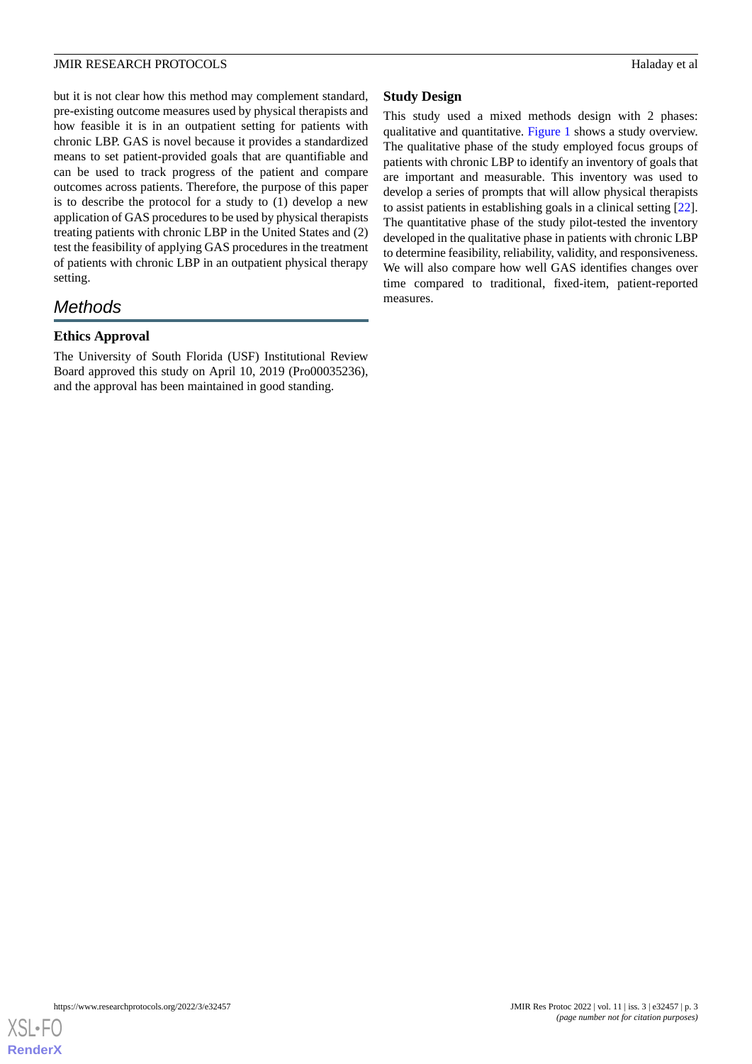but it is not clear how this method may complement standard, pre-existing outcome measures used by physical therapists and how feasible it is in an outpatient setting for patients with chronic LBP. GAS is novel because it provides a standardized means to set patient-provided goals that are quantifiable and can be used to track progress of the patient and compare outcomes across patients. Therefore, the purpose of this paper is to describe the protocol for a study to (1) develop a new application of GAS procedures to be used by physical therapists treating patients with chronic LBP in the United States and (2) test the feasibility of applying GAS procedures in the treatment of patients with chronic LBP in an outpatient physical therapy setting.

## *Methods*

## **Ethics Approval**

The University of South Florida (USF) Institutional Review Board approved this study on April 10, 2019 (Pro00035236), and the approval has been maintained in good standing.

## **Study Design**

This study used a mixed methods design with 2 phases: qualitative and quantitative. [Figure 1](#page-3-0) shows a study overview. The qualitative phase of the study employed focus groups of patients with chronic LBP to identify an inventory of goals that are important and measurable. This inventory was used to develop a series of prompts that will allow physical therapists to assist patients in establishing goals in a clinical setting [[22\]](#page-7-4). The quantitative phase of the study pilot-tested the inventory developed in the qualitative phase in patients with chronic LBP to determine feasibility, reliability, validity, and responsiveness. We will also compare how well GAS identifies changes over time compared to traditional, fixed-item, patient-reported measures.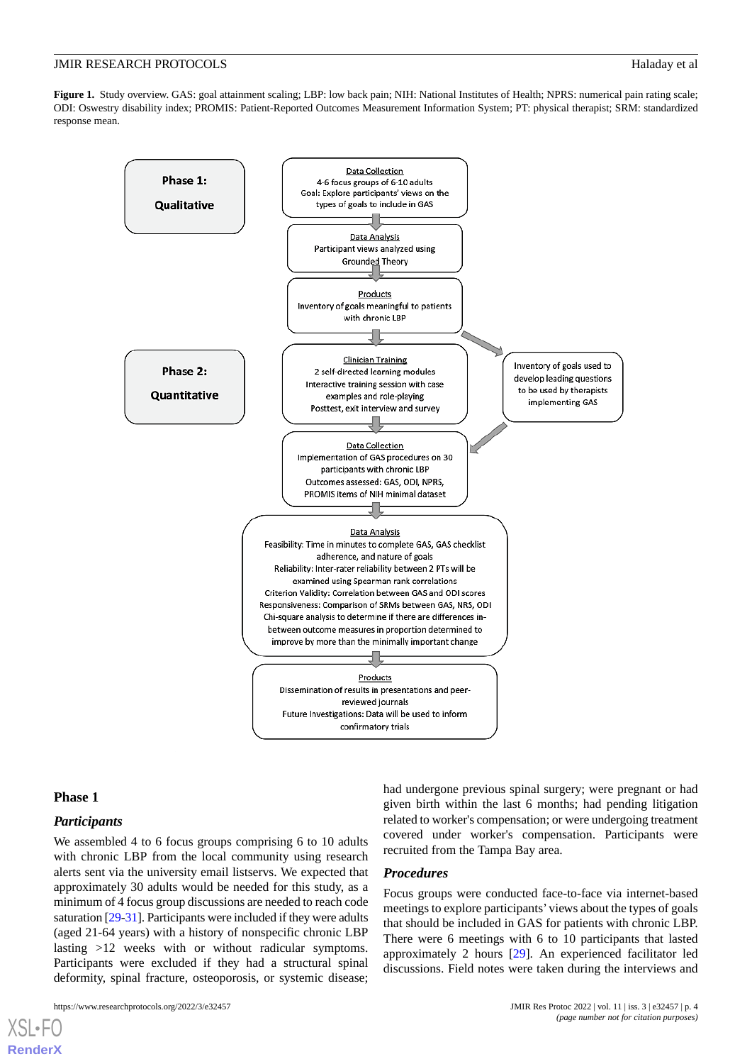#### **JMIR RESEARCH PROTOCOLS Haladay et al.** The second second second second second second second second second second second second second second second second second second second second second second second second second

<span id="page-3-0"></span>Figure 1. Study overview. GAS: goal attainment scaling; LBP: low back pain; NIH: National Institutes of Health; NPRS: numerical pain rating scale; ODI: Oswestry disability index; PROMIS: Patient-Reported Outcomes Measurement Information System; PT: physical therapist; SRM: standardized response mean.



#### **Phase 1**

[XSL](http://www.w3.org/Style/XSL)•FO **[RenderX](http://www.renderx.com/)**

### *Participants*

We assembled 4 to 6 focus groups comprising 6 to 10 adults with chronic LBP from the local community using research alerts sent via the university email listservs. We expected that approximately 30 adults would be needed for this study, as a minimum of 4 focus group discussions are needed to reach code saturation [\[29](#page-7-10)[-31\]](#page-7-11). Participants were included if they were adults (aged 21-64 years) with a history of nonspecific chronic LBP lasting >12 weeks with or without radicular symptoms. Participants were excluded if they had a structural spinal deformity, spinal fracture, osteoporosis, or systemic disease;

https://www.researchprotocols.org/2022/3/e32457 b. 4

had undergone previous spinal surgery; were pregnant or had given birth within the last 6 months; had pending litigation related to worker's compensation; or were undergoing treatment covered under worker's compensation. Participants were recruited from the Tampa Bay area.

#### *Procedures*

Focus groups were conducted face-to-face via internet-based meetings to explore participants' views about the types of goals that should be included in GAS for patients with chronic LBP. There were 6 meetings with 6 to 10 participants that lasted approximately 2 hours [\[29](#page-7-10)]. An experienced facilitator led discussions. Field notes were taken during the interviews and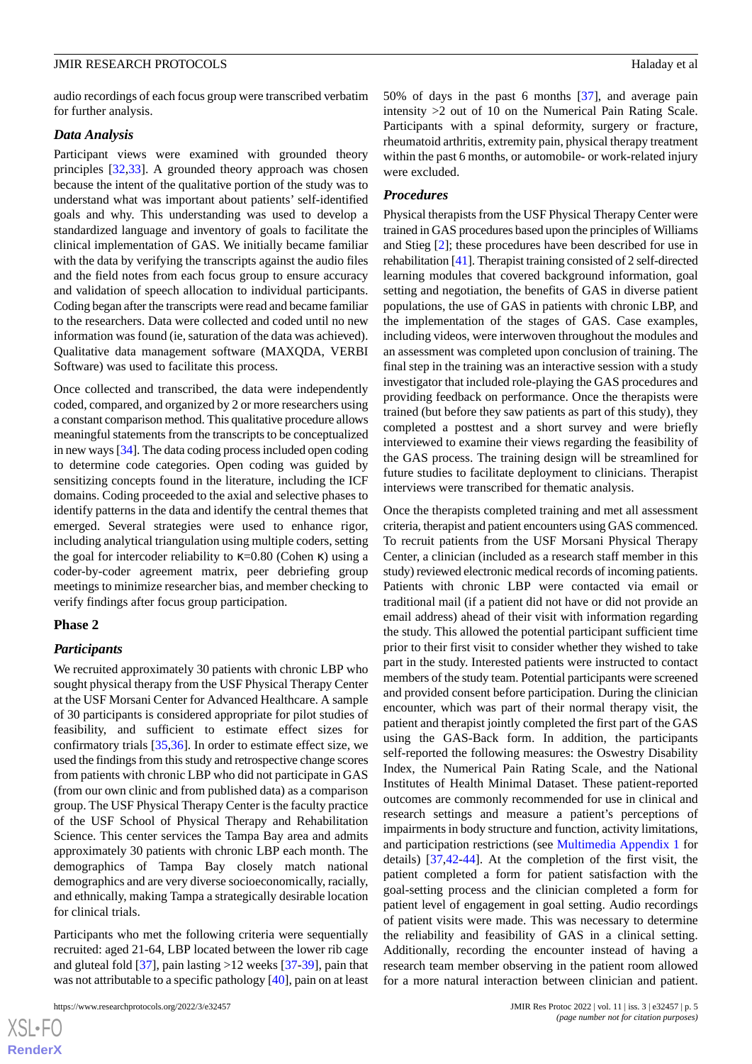#### *Data Analysis*

Participant views were examined with grounded theory principles [\[32](#page-7-12),[33\]](#page-7-13). A grounded theory approach was chosen because the intent of the qualitative portion of the study was to understand what was important about patients' self-identified goals and why. This understanding was used to develop a standardized language and inventory of goals to facilitate the clinical implementation of GAS. We initially became familiar with the data by verifying the transcripts against the audio files and the field notes from each focus group to ensure accuracy and validation of speech allocation to individual participants. Coding began after the transcripts were read and became familiar to the researchers. Data were collected and coded until no new information was found (ie, saturation of the data was achieved). Qualitative data management software (MAXQDA, VERBI Software) was used to facilitate this process.

Once collected and transcribed, the data were independently coded, compared, and organized by 2 or more researchers using a constant comparison method. This qualitative procedure allows meaningful statements from the transcripts to be conceptualized in new ways [\[34](#page-7-14)]. The data coding process included open coding to determine code categories. Open coding was guided by sensitizing concepts found in the literature, including the ICF domains. Coding proceeded to the axial and selective phases to identify patterns in the data and identify the central themes that emerged. Several strategies were used to enhance rigor, including analytical triangulation using multiple coders, setting the goal for intercoder reliability to  $κ=0.80$  (Cohen κ) using a coder-by-coder agreement matrix, peer debriefing group meetings to minimize researcher bias, and member checking to verify findings after focus group participation.

#### **Phase 2**

#### *Participants*

We recruited approximately 30 patients with chronic LBP who sought physical therapy from the USF Physical Therapy Center at the USF Morsani Center for Advanced Healthcare. A sample of 30 participants is considered appropriate for pilot studies of feasibility, and sufficient to estimate effect sizes for confirmatory trials [[35](#page-7-15)[,36](#page-7-16)]. In order to estimate effect size, we used the findings from this study and retrospective change scores from patients with chronic LBP who did not participate in GAS (from our own clinic and from published data) as a comparison group. The USF Physical Therapy Center is the faculty practice of the USF School of Physical Therapy and Rehabilitation Science. This center services the Tampa Bay area and admits approximately 30 patients with chronic LBP each month. The demographics of Tampa Bay closely match national demographics and are very diverse socioeconomically, racially, and ethnically, making Tampa a strategically desirable location for clinical trials.

Participants who met the following criteria were sequentially recruited: aged 21-64, LBP located between the lower rib cage and gluteal fold [\[37](#page-7-17)], pain lasting >12 weeks [[37-](#page-7-17)[39\]](#page-7-18), pain that was not attributable to a specific pathology [[40\]](#page-7-19), pain on at least

https://www.researchprotocols.org/2022/3/e32457 JMIR Res Protoc 2022 | vol. 11 | iss. 3 | e32457 | p. 5

50% of days in the past 6 months [\[37](#page-7-17)], and average pain intensity >2 out of 10 on the Numerical Pain Rating Scale. Participants with a spinal deformity, surgery or fracture, rheumatoid arthritis, extremity pain, physical therapy treatment within the past 6 months, or automobile- or work-related injury were excluded.

#### *Procedures*

Physical therapists from the USF Physical Therapy Center were trained in GAS procedures based upon the principles of Williams and Stieg [\[2](#page-6-1)]; these procedures have been described for use in rehabilitation [[41](#page-8-0)]. Therapist training consisted of 2 self-directed learning modules that covered background information, goal setting and negotiation, the benefits of GAS in diverse patient populations, the use of GAS in patients with chronic LBP, and the implementation of the stages of GAS. Case examples, including videos, were interwoven throughout the modules and an assessment was completed upon conclusion of training. The final step in the training was an interactive session with a study investigator that included role-playing the GAS procedures and providing feedback on performance. Once the therapists were trained (but before they saw patients as part of this study), they completed a posttest and a short survey and were briefly interviewed to examine their views regarding the feasibility of the GAS process. The training design will be streamlined for future studies to facilitate deployment to clinicians. Therapist interviews were transcribed for thematic analysis.

Once the therapists completed training and met all assessment criteria, therapist and patient encounters using GAS commenced. To recruit patients from the USF Morsani Physical Therapy Center, a clinician (included as a research staff member in this study) reviewed electronic medical records of incoming patients. Patients with chronic LBP were contacted via email or traditional mail (if a patient did not have or did not provide an email address) ahead of their visit with information regarding the study. This allowed the potential participant sufficient time prior to their first visit to consider whether they wished to take part in the study. Interested patients were instructed to contact members of the study team. Potential participants were screened and provided consent before participation. During the clinician encounter, which was part of their normal therapy visit, the patient and therapist jointly completed the first part of the GAS using the GAS-Back form. In addition, the participants self-reported the following measures: the Oswestry Disability Index, the Numerical Pain Rating Scale, and the National Institutes of Health Minimal Dataset. These patient-reported outcomes are commonly recommended for use in clinical and research settings and measure a patient's perceptions of impairments in body structure and function, activity limitations, and participation restrictions (see [Multimedia Appendix 1](#page-6-14) for details) [[37,](#page-7-17)[42](#page-8-1)-[44\]](#page-8-2). At the completion of the first visit, the patient completed a form for patient satisfaction with the goal-setting process and the clinician completed a form for patient level of engagement in goal setting. Audio recordings of patient visits were made. This was necessary to determine the reliability and feasibility of GAS in a clinical setting. Additionally, recording the encounter instead of having a research team member observing in the patient room allowed for a more natural interaction between clinician and patient.

 $XS$ -FO **[RenderX](http://www.renderx.com/)**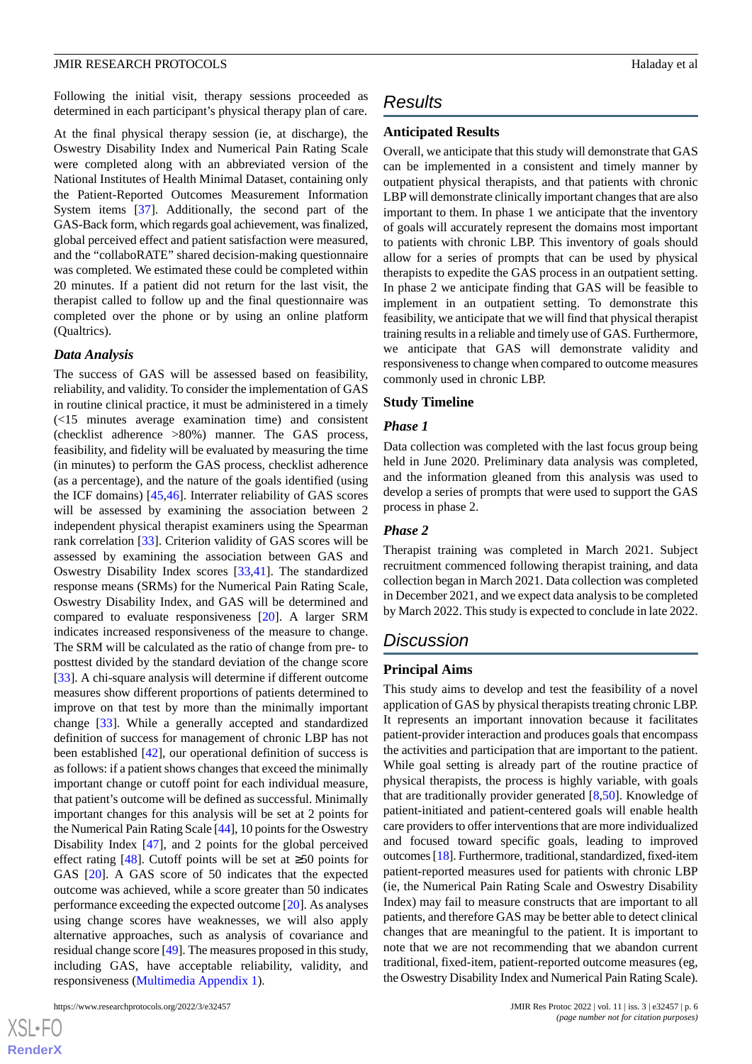Following the initial visit, therapy sessions proceeded as determined in each participant's physical therapy plan of care.

At the final physical therapy session (ie, at discharge), the Oswestry Disability Index and Numerical Pain Rating Scale were completed along with an abbreviated version of the National Institutes of Health Minimal Dataset, containing only the Patient-Reported Outcomes Measurement Information System items [[37\]](#page-7-17). Additionally, the second part of the GAS-Back form, which regards goal achievement, was finalized, global perceived effect and patient satisfaction were measured, and the "collaboRATE" shared decision-making questionnaire was completed. We estimated these could be completed within 20 minutes. If a patient did not return for the last visit, the therapist called to follow up and the final questionnaire was completed over the phone or by using an online platform (Qualtrics).

#### *Data Analysis*

The success of GAS will be assessed based on feasibility, reliability, and validity. To consider the implementation of GAS in routine clinical practice, it must be administered in a timely (<15 minutes average examination time) and consistent (checklist adherence >80%) manner. The GAS process, feasibility, and fidelity will be evaluated by measuring the time (in minutes) to perform the GAS process, checklist adherence (as a percentage), and the nature of the goals identified (using the ICF domains) [[45,](#page-8-3)[46\]](#page-8-4). Interrater reliability of GAS scores will be assessed by examining the association between 2 independent physical therapist examiners using the Spearman rank correlation [\[33](#page-7-13)]. Criterion validity of GAS scores will be assessed by examining the association between GAS and Oswestry Disability Index scores [\[33](#page-7-13),[41\]](#page-8-0). The standardized response means (SRMs) for the Numerical Pain Rating Scale, Oswestry Disability Index, and GAS will be determined and compared to evaluate responsiveness [[20\]](#page-7-20). A larger SRM indicates increased responsiveness of the measure to change. The SRM will be calculated as the ratio of change from pre- to posttest divided by the standard deviation of the change score [[33\]](#page-7-13). A chi-square analysis will determine if different outcome measures show different proportions of patients determined to improve on that test by more than the minimally important change [\[33](#page-7-13)]. While a generally accepted and standardized definition of success for management of chronic LBP has not been established [\[42](#page-8-1)], our operational definition of success is as follows: if a patient shows changes that exceed the minimally important change or cutoff point for each individual measure, that patient's outcome will be defined as successful. Minimally important changes for this analysis will be set at 2 points for the Numerical Pain Rating Scale [[44\]](#page-8-2), 10 points for the Oswestry Disability Index [\[47](#page-8-5)], and 2 points for the global perceived effect rating [[48\]](#page-8-6). Cutoff points will be set at  $\geq 50$  points for GAS [\[20](#page-7-20)]. A GAS score of 50 indicates that the expected outcome was achieved, while a score greater than 50 indicates performance exceeding the expected outcome [\[20](#page-7-20)]. As analyses using change scores have weaknesses, we will also apply alternative approaches, such as analysis of covariance and residual change score [\[49](#page-8-7)]. The measures proposed in this study, including GAS, have acceptable reliability, validity, and responsiveness ([Multimedia Appendix 1](#page-6-14)).

## *Results*

#### **Anticipated Results**

Overall, we anticipate that this study will demonstrate that GAS can be implemented in a consistent and timely manner by outpatient physical therapists, and that patients with chronic LBP will demonstrate clinically important changes that are also important to them. In phase 1 we anticipate that the inventory of goals will accurately represent the domains most important to patients with chronic LBP. This inventory of goals should allow for a series of prompts that can be used by physical therapists to expedite the GAS process in an outpatient setting. In phase 2 we anticipate finding that GAS will be feasible to implement in an outpatient setting. To demonstrate this feasibility, we anticipate that we will find that physical therapist training results in a reliable and timely use of GAS. Furthermore, we anticipate that GAS will demonstrate validity and responsiveness to change when compared to outcome measures commonly used in chronic LBP.

#### **Study Timeline**

#### *Phase 1*

Data collection was completed with the last focus group being held in June 2020. Preliminary data analysis was completed, and the information gleaned from this analysis was used to develop a series of prompts that were used to support the GAS process in phase 2.

#### *Phase 2*

Therapist training was completed in March 2021. Subject recruitment commenced following therapist training, and data collection began in March 2021. Data collection was completed in December 2021, and we expect data analysis to be completed by March 2022. This study is expected to conclude in late 2022.

## *Discussion*

#### **Principal Aims**

This study aims to develop and test the feasibility of a novel application of GAS by physical therapists treating chronic LBP. It represents an important innovation because it facilitates patient-provider interaction and produces goals that encompass the activities and participation that are important to the patient. While goal setting is already part of the routine practice of physical therapists, the process is highly variable, with goals that are traditionally provider generated [[8,](#page-6-7)[50](#page-8-8)]. Knowledge of patient-initiated and patient-centered goals will enable health care providers to offer interventions that are more individualized and focused toward specific goals, leading to improved outcomes [\[18\]](#page-7-2). Furthermore, traditional, standardized, fixed-item patient-reported measures used for patients with chronic LBP (ie, the Numerical Pain Rating Scale and Oswestry Disability Index) may fail to measure constructs that are important to all patients, and therefore GAS may be better able to detect clinical changes that are meaningful to the patient. It is important to note that we are not recommending that we abandon current traditional, fixed-item, patient-reported outcome measures (eg, the Oswestry Disability Index and Numerical Pain Rating Scale).

 $XSJ \cdot F$ **[RenderX](http://www.renderx.com/)**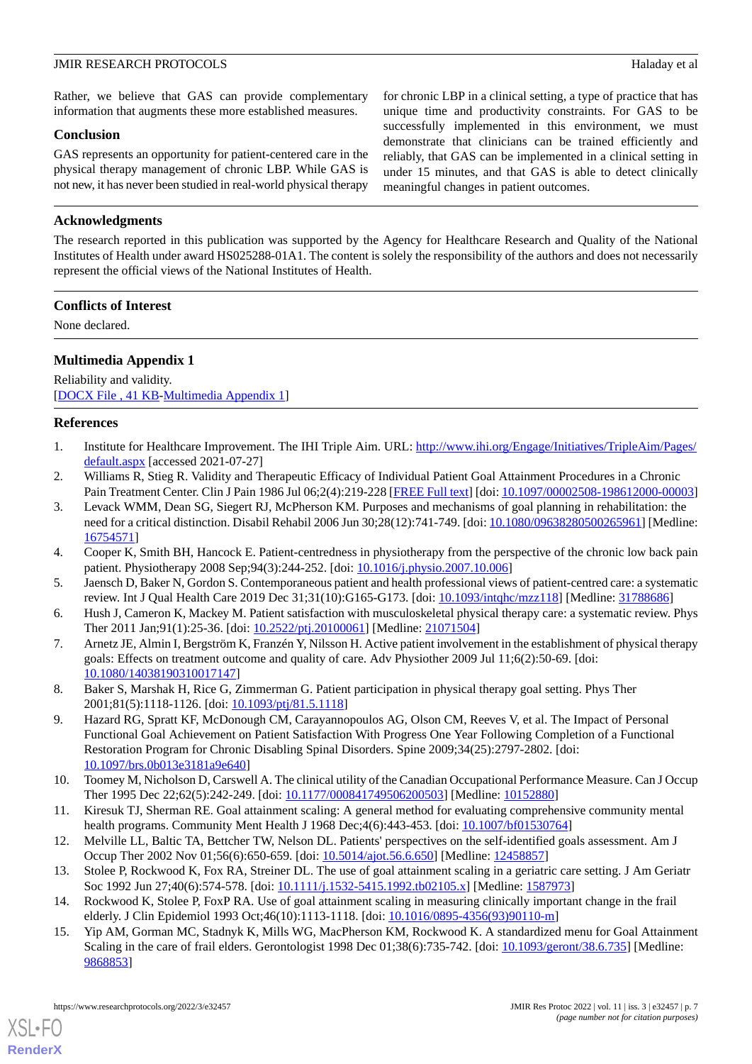#### **JMIR RESEARCH PROTOCOLS Haladay et al.** The second second second second second second second second second second second second second second second second second second second second second second second second second

Rather, we believe that GAS can provide complementary information that augments these more established measures.

#### **Conclusion**

GAS represents an opportunity for patient-centered care in the physical therapy management of chronic LBP. While GAS is not new, it has never been studied in real-world physical therapy for chronic LBP in a clinical setting, a type of practice that has unique time and productivity constraints. For GAS to be successfully implemented in this environment, we must demonstrate that clinicians can be trained efficiently and reliably, that GAS can be implemented in a clinical setting in under 15 minutes, and that GAS is able to detect clinically meaningful changes in patient outcomes.

## **Acknowledgments**

The research reported in this publication was supported by the Agency for Healthcare Research and Quality of the National Institutes of Health under award HS025288-01A1. The content is solely the responsibility of the authors and does not necessarily represent the official views of the National Institutes of Health.

#### **Conflicts of Interest**

<span id="page-6-14"></span>None declared.

## **Multimedia Appendix 1**

<span id="page-6-0"></span>Reliability and validity. [[DOCX File , 41 KB](https://jmir.org/api/download?alt_name=resprot_v11i3e32457_app1.docx&filename=512af1656e9fd9fcd5853d854bee731f.docx)-[Multimedia Appendix 1\]](https://jmir.org/api/download?alt_name=resprot_v11i3e32457_app1.docx&filename=512af1656e9fd9fcd5853d854bee731f.docx)

#### <span id="page-6-1"></span>**References**

- <span id="page-6-2"></span>1. Institute for Healthcare Improvement. The IHI Triple Aim. URL: [http://www.ihi.org/Engage/Initiatives/TripleAim/Pages/](http://www.ihi.org/Engage/Initiatives/TripleAim/Pages/default.aspx) [default.aspx](http://www.ihi.org/Engage/Initiatives/TripleAim/Pages/default.aspx) [accessed 2021-07-27]
- 2. Williams R, Stieg R. Validity and Therapeutic Efficacy of Individual Patient Goal Attainment Procedures in a Chronic Pain Treatment Center. Clin J Pain 1986 Jul 06;2(4):219-228 [[FREE Full text](https://bmchealthservres.biomedcentral.com/articles/10.1186/s12913-016-1423-5)] [doi: [10.1097/00002508-198612000-00003](http://dx.doi.org/10.1097/00002508-198612000-00003)]
- <span id="page-6-4"></span><span id="page-6-3"></span>3. Levack WMM, Dean SG, Siegert RJ, McPherson KM. Purposes and mechanisms of goal planning in rehabilitation: the need for a critical distinction. Disabil Rehabil 2006 Jun 30;28(12):741-749. [doi: [10.1080/09638280500265961\]](http://dx.doi.org/10.1080/09638280500265961) [Medline: [16754571](http://www.ncbi.nlm.nih.gov/entrez/query.fcgi?cmd=Retrieve&db=PubMed&list_uids=16754571&dopt=Abstract)]
- <span id="page-6-5"></span>4. Cooper K, Smith BH, Hancock E. Patient-centredness in physiotherapy from the perspective of the chronic low back pain patient. Physiotherapy 2008 Sep;94(3):244-252. [doi: [10.1016/j.physio.2007.10.006](http://dx.doi.org/10.1016/j.physio.2007.10.006)]
- <span id="page-6-6"></span>5. Jaensch D, Baker N, Gordon S. Contemporaneous patient and health professional views of patient-centred care: a systematic review. Int J Qual Health Care 2019 Dec 31;31(10):G165-G173. [doi: [10.1093/intqhc/mzz118](http://dx.doi.org/10.1093/intqhc/mzz118)] [Medline: [31788686](http://www.ncbi.nlm.nih.gov/entrez/query.fcgi?cmd=Retrieve&db=PubMed&list_uids=31788686&dopt=Abstract)]
- <span id="page-6-7"></span>6. Hush J, Cameron K, Mackey M. Patient satisfaction with musculoskeletal physical therapy care: a systematic review. Phys Ther 2011 Jan;91(1):25-36. [doi: [10.2522/ptj.20100061](http://dx.doi.org/10.2522/ptj.20100061)] [Medline: [21071504\]](http://www.ncbi.nlm.nih.gov/entrez/query.fcgi?cmd=Retrieve&db=PubMed&list_uids=21071504&dopt=Abstract)
- <span id="page-6-8"></span>7. Arnetz JE, Almin I, Bergström K, Franzén Y, Nilsson H. Active patient involvement in the establishment of physical therapy goals: Effects on treatment outcome and quality of care. Adv Physiother 2009 Jul 11;6(2):50-69. [doi: [10.1080/14038190310017147\]](http://dx.doi.org/10.1080/14038190310017147)
- <span id="page-6-9"></span>8. Baker S, Marshak H, Rice G, Zimmerman G. Patient participation in physical therapy goal setting. Phys Ther 2001;81(5):1118-1126. [doi: [10.1093/ptj/81.5.1118](http://dx.doi.org/10.1093/ptj/81.5.1118)]
- <span id="page-6-11"></span>9. Hazard RG, Spratt KF, McDonough CM, Carayannopoulos AG, Olson CM, Reeves V, et al. The Impact of Personal Functional Goal Achievement on Patient Satisfaction With Progress One Year Following Completion of a Functional Restoration Program for Chronic Disabling Spinal Disorders. Spine 2009;34(25):2797-2802. [doi: [10.1097/brs.0b013e3181a9e640\]](http://dx.doi.org/10.1097/brs.0b013e3181a9e640)
- <span id="page-6-12"></span><span id="page-6-10"></span>10. Toomey M, Nicholson D, Carswell A. The clinical utility of the Canadian Occupational Performance Measure. Can J Occup Ther 1995 Dec 22;62(5):242-249. [doi: [10.1177/000841749506200503](http://dx.doi.org/10.1177/000841749506200503)] [Medline: [10152880\]](http://www.ncbi.nlm.nih.gov/entrez/query.fcgi?cmd=Retrieve&db=PubMed&list_uids=10152880&dopt=Abstract)
- 11. Kiresuk TJ, Sherman RE. Goal attainment scaling: A general method for evaluating comprehensive community mental health programs. Community Ment Health J 1968 Dec;4(6):443-453. [doi: [10.1007/bf01530764\]](http://dx.doi.org/10.1007/bf01530764)
- <span id="page-6-13"></span>12. Melville LL, Baltic TA, Bettcher TW, Nelson DL. Patients' perspectives on the self-identified goals assessment. Am J Occup Ther 2002 Nov 01;56(6):650-659. [doi: [10.5014/ajot.56.6.650](http://dx.doi.org/10.5014/ajot.56.6.650)] [Medline: [12458857](http://www.ncbi.nlm.nih.gov/entrez/query.fcgi?cmd=Retrieve&db=PubMed&list_uids=12458857&dopt=Abstract)]
- 13. Stolee P, Rockwood K, Fox RA, Streiner DL. The use of goal attainment scaling in a geriatric care setting. J Am Geriatr Soc 1992 Jun 27;40(6):574-578. [doi: [10.1111/j.1532-5415.1992.tb02105.x](http://dx.doi.org/10.1111/j.1532-5415.1992.tb02105.x)] [Medline: [1587973\]](http://www.ncbi.nlm.nih.gov/entrez/query.fcgi?cmd=Retrieve&db=PubMed&list_uids=1587973&dopt=Abstract)
- 14. Rockwood K, Stolee P, FoxP RA. Use of goal attainment scaling in measuring clinically important change in the frail elderly. J Clin Epidemiol 1993 Oct;46(10):1113-1118. [doi: [10.1016/0895-4356\(93\)90110-m](http://dx.doi.org/10.1016/0895-4356(93)90110-m)]
- 15. Yip AM, Gorman MC, Stadnyk K, Mills WG, MacPherson KM, Rockwood K. A standardized menu for Goal Attainment Scaling in the care of frail elders. Gerontologist 1998 Dec 01;38(6):735-742. [doi: [10.1093/geront/38.6.735](http://dx.doi.org/10.1093/geront/38.6.735)] [Medline: [9868853\]](http://www.ncbi.nlm.nih.gov/entrez/query.fcgi?cmd=Retrieve&db=PubMed&list_uids=9868853&dopt=Abstract)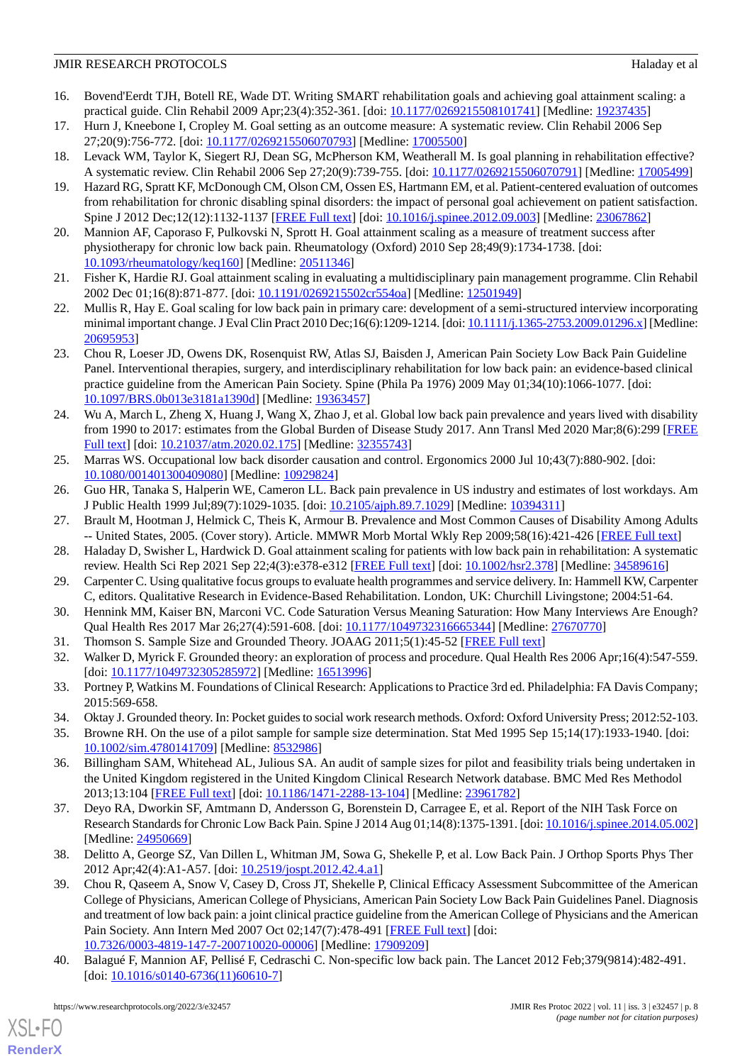- <span id="page-7-0"></span>16. Bovend'Eerdt TJH, Botell RE, Wade DT. Writing SMART rehabilitation goals and achieving goal attainment scaling: a practical guide. Clin Rehabil 2009 Apr;23(4):352-361. [doi: [10.1177/0269215508101741](http://dx.doi.org/10.1177/0269215508101741)] [Medline: [19237435](http://www.ncbi.nlm.nih.gov/entrez/query.fcgi?cmd=Retrieve&db=PubMed&list_uids=19237435&dopt=Abstract)]
- <span id="page-7-2"></span><span id="page-7-1"></span>17. Hurn J, Kneebone I, Cropley M. Goal setting as an outcome measure: A systematic review. Clin Rehabil 2006 Sep 27;20(9):756-772. [doi: [10.1177/0269215506070793\]](http://dx.doi.org/10.1177/0269215506070793) [Medline: [17005500](http://www.ncbi.nlm.nih.gov/entrez/query.fcgi?cmd=Retrieve&db=PubMed&list_uids=17005500&dopt=Abstract)]
- <span id="page-7-3"></span>18. Levack WM, Taylor K, Siegert RJ, Dean SG, McPherson KM, Weatherall M. Is goal planning in rehabilitation effective? A systematic review. Clin Rehabil 2006 Sep 27;20(9):739-755. [doi: [10.1177/0269215506070791\]](http://dx.doi.org/10.1177/0269215506070791) [Medline: [17005499](http://www.ncbi.nlm.nih.gov/entrez/query.fcgi?cmd=Retrieve&db=PubMed&list_uids=17005499&dopt=Abstract)]
- 19. Hazard RG, Spratt KF, McDonough CM, Olson CM, Ossen ES, Hartmann EM, et al. Patient-centered evaluation of outcomes from rehabilitation for chronic disabling spinal disorders: the impact of personal goal achievement on patient satisfaction. Spine J 2012 Dec;12(12):1132-1137 [\[FREE Full text\]](http://europepmc.org/abstract/MED/23067862) [doi: [10.1016/j.spinee.2012.09.003](http://dx.doi.org/10.1016/j.spinee.2012.09.003)] [Medline: [23067862](http://www.ncbi.nlm.nih.gov/entrez/query.fcgi?cmd=Retrieve&db=PubMed&list_uids=23067862&dopt=Abstract)]
- <span id="page-7-20"></span>20. Mannion AF, Caporaso F, Pulkovski N, Sprott H. Goal attainment scaling as a measure of treatment success after physiotherapy for chronic low back pain. Rheumatology (Oxford) 2010 Sep 28;49(9):1734-1738. [doi: [10.1093/rheumatology/keq160\]](http://dx.doi.org/10.1093/rheumatology/keq160) [Medline: [20511346](http://www.ncbi.nlm.nih.gov/entrez/query.fcgi?cmd=Retrieve&db=PubMed&list_uids=20511346&dopt=Abstract)]
- <span id="page-7-4"></span>21. Fisher K, Hardie RJ. Goal attainment scaling in evaluating a multidisciplinary pain management programme. Clin Rehabil 2002 Dec 01;16(8):871-877. [doi: [10.1191/0269215502cr554oa](http://dx.doi.org/10.1191/0269215502cr554oa)] [Medline: [12501949\]](http://www.ncbi.nlm.nih.gov/entrez/query.fcgi?cmd=Retrieve&db=PubMed&list_uids=12501949&dopt=Abstract)
- <span id="page-7-5"></span>22. Mullis R, Hay E. Goal scaling for low back pain in primary care: development of a semi-structured interview incorporating minimal important change. J Eval Clin Pract 2010 Dec;16(6):1209-1214. [doi: [10.1111/j.1365-2753.2009.01296.x\]](http://dx.doi.org/10.1111/j.1365-2753.2009.01296.x) [Medline: [20695953](http://www.ncbi.nlm.nih.gov/entrez/query.fcgi?cmd=Retrieve&db=PubMed&list_uids=20695953&dopt=Abstract)]
- <span id="page-7-6"></span>23. Chou R, Loeser JD, Owens DK, Rosenquist RW, Atlas SJ, Baisden J, American Pain Society Low Back Pain Guideline Panel. Interventional therapies, surgery, and interdisciplinary rehabilitation for low back pain: an evidence-based clinical practice guideline from the American Pain Society. Spine (Phila Pa 1976) 2009 May 01;34(10):1066-1077. [doi: [10.1097/BRS.0b013e3181a1390d](http://dx.doi.org/10.1097/BRS.0b013e3181a1390d)] [Medline: [19363457\]](http://www.ncbi.nlm.nih.gov/entrez/query.fcgi?cmd=Retrieve&db=PubMed&list_uids=19363457&dopt=Abstract)
- <span id="page-7-7"></span>24. Wu A, March L, Zheng X, Huang J, Wang X, Zhao J, et al. Global low back pain prevalence and years lived with disability from 1990 to 2017: estimates from the Global Burden of Disease Study 2017. Ann Transl Med 2020 Mar;8(6):299 [\[FREE](https://doi.org/10.21037/atm.2020.02.175) [Full text\]](https://doi.org/10.21037/atm.2020.02.175) [doi: [10.21037/atm.2020.02.175\]](http://dx.doi.org/10.21037/atm.2020.02.175) [Medline: [32355743\]](http://www.ncbi.nlm.nih.gov/entrez/query.fcgi?cmd=Retrieve&db=PubMed&list_uids=32355743&dopt=Abstract)
- <span id="page-7-8"></span>25. Marras WS. Occupational low back disorder causation and control. Ergonomics 2000 Jul 10;43(7):880-902. [doi: [10.1080/001401300409080\]](http://dx.doi.org/10.1080/001401300409080) [Medline: [10929824\]](http://www.ncbi.nlm.nih.gov/entrez/query.fcgi?cmd=Retrieve&db=PubMed&list_uids=10929824&dopt=Abstract)
- <span id="page-7-9"></span>26. Guo HR, Tanaka S, Halperin WE, Cameron LL. Back pain prevalence in US industry and estimates of lost workdays. Am J Public Health 1999 Jul;89(7):1029-1035. [doi: [10.2105/ajph.89.7.1029](http://dx.doi.org/10.2105/ajph.89.7.1029)] [Medline: [10394311](http://www.ncbi.nlm.nih.gov/entrez/query.fcgi?cmd=Retrieve&db=PubMed&list_uids=10394311&dopt=Abstract)]
- <span id="page-7-10"></span>27. Brault M, Hootman J, Helmick C, Theis K, Armour B. Prevalence and Most Common Causes of Disability Among Adults -- United States, 2005. (Cover story). Article. MMWR Morb Mortal Wkly Rep 2009;58(16):421-426 [[FREE Full text](https://www.cdc.gov/mmwr/preview/mmwrhtml/mm5816a2.htm)]
- 28. Haladay D, Swisher L, Hardwick D. Goal attainment scaling for patients with low back pain in rehabilitation: A systematic review. Health Sci Rep 2021 Sep 22;4(3):e378-e312 [[FREE Full text](https://doi.org/10.1002/hsr2.378)] [doi: [10.1002/hsr2.378](http://dx.doi.org/10.1002/hsr2.378)] [Medline: [34589616](http://www.ncbi.nlm.nih.gov/entrez/query.fcgi?cmd=Retrieve&db=PubMed&list_uids=34589616&dopt=Abstract)]
- <span id="page-7-12"></span><span id="page-7-11"></span>29. Carpenter C. Using qualitative focus groups to evaluate health programmes and service delivery. In: Hammell KW, Carpenter C, editors. Qualitative Research in Evidence-Based Rehabilitation. London, UK: Churchill Livingstone; 2004:51-64.
- <span id="page-7-13"></span>30. Hennink MM, Kaiser BN, Marconi VC. Code Saturation Versus Meaning Saturation: How Many Interviews Are Enough? Qual Health Res 2017 Mar 26;27(4):591-608. [doi: [10.1177/1049732316665344](http://dx.doi.org/10.1177/1049732316665344)] [Medline: [27670770\]](http://www.ncbi.nlm.nih.gov/entrez/query.fcgi?cmd=Retrieve&db=PubMed&list_uids=27670770&dopt=Abstract)
- <span id="page-7-14"></span>31. Thomson S. Sample Size and Grounded Theory. JOAAG 2011;5(1):45-52 [\[FREE Full text\]](https://ssrn.com/abstract=3037218)
- <span id="page-7-15"></span>32. Walker D, Myrick F. Grounded theory: an exploration of process and procedure. Qual Health Res 2006 Apr;16(4):547-559. [doi: [10.1177/1049732305285972](http://dx.doi.org/10.1177/1049732305285972)] [Medline: [16513996\]](http://www.ncbi.nlm.nih.gov/entrez/query.fcgi?cmd=Retrieve&db=PubMed&list_uids=16513996&dopt=Abstract)
- <span id="page-7-16"></span>33. Portney P, Watkins M. Foundations of Clinical Research: Applications to Practice 3rd ed. Philadelphia: FA Davis Company; 2015:569-658.
- 34. Oktay J. Grounded theory. In: Pocket guides to social work research methods. Oxford: Oxford University Press; 2012:52-103.
- <span id="page-7-17"></span>35. Browne RH. On the use of a pilot sample for sample size determination. Stat Med 1995 Sep 15;14(17):1933-1940. [doi: [10.1002/sim.4780141709\]](http://dx.doi.org/10.1002/sim.4780141709) [Medline: [8532986\]](http://www.ncbi.nlm.nih.gov/entrez/query.fcgi?cmd=Retrieve&db=PubMed&list_uids=8532986&dopt=Abstract)
- 36. Billingham SAM, Whitehead AL, Julious SA. An audit of sample sizes for pilot and feasibility trials being undertaken in the United Kingdom registered in the United Kingdom Clinical Research Network database. BMC Med Res Methodol 2013;13:104 [[FREE Full text](http://bmcmedresmethodol.biomedcentral.com/articles/10.1186/1471-2288-13-104)] [doi: [10.1186/1471-2288-13-104\]](http://dx.doi.org/10.1186/1471-2288-13-104) [Medline: [23961782\]](http://www.ncbi.nlm.nih.gov/entrez/query.fcgi?cmd=Retrieve&db=PubMed&list_uids=23961782&dopt=Abstract)
- <span id="page-7-18"></span>37. Deyo RA, Dworkin SF, Amtmann D, Andersson G, Borenstein D, Carragee E, et al. Report of the NIH Task Force on Research Standards for Chronic Low Back Pain. Spine J 2014 Aug 01;14(8):1375-1391. [doi: [10.1016/j.spinee.2014.05.002\]](http://dx.doi.org/10.1016/j.spinee.2014.05.002) [Medline: [24950669](http://www.ncbi.nlm.nih.gov/entrez/query.fcgi?cmd=Retrieve&db=PubMed&list_uids=24950669&dopt=Abstract)]
- <span id="page-7-19"></span>38. Delitto A, George SZ, Van Dillen L, Whitman JM, Sowa G, Shekelle P, et al. Low Back Pain. J Orthop Sports Phys Ther 2012 Apr;42(4):A1-A57. [doi: [10.2519/jospt.2012.42.4.a1](http://dx.doi.org/10.2519/jospt.2012.42.4.a1)]
- 39. Chou R, Qaseem A, Snow V, Casey D, Cross JT, Shekelle P, Clinical Efficacy Assessment Subcommittee of the American College of Physicians, American College of Physicians, American Pain Society Low Back Pain Guidelines Panel. Diagnosis and treatment of low back pain: a joint clinical practice guideline from the American College of Physicians and the American Pain Society. Ann Intern Med 2007 Oct 02;147(7):478-491 [[FREE Full text](https://www.acpjournals.org/doi/abs/10.7326/0003-4819-147-7-200710020-00006?url_ver=Z39.88-2003&rfr_id=ori:rid:crossref.org&rfr_dat=cr_pub%3dpubmed)] [doi: [10.7326/0003-4819-147-7-200710020-00006](http://dx.doi.org/10.7326/0003-4819-147-7-200710020-00006)] [Medline: [17909209](http://www.ncbi.nlm.nih.gov/entrez/query.fcgi?cmd=Retrieve&db=PubMed&list_uids=17909209&dopt=Abstract)]
- 40. Balagué F, Mannion AF, Pellisé F, Cedraschi C. Non-specific low back pain. The Lancet 2012 Feb;379(9814):482-491. [doi: [10.1016/s0140-6736\(11\)60610-7](http://dx.doi.org/10.1016/s0140-6736(11)60610-7)]